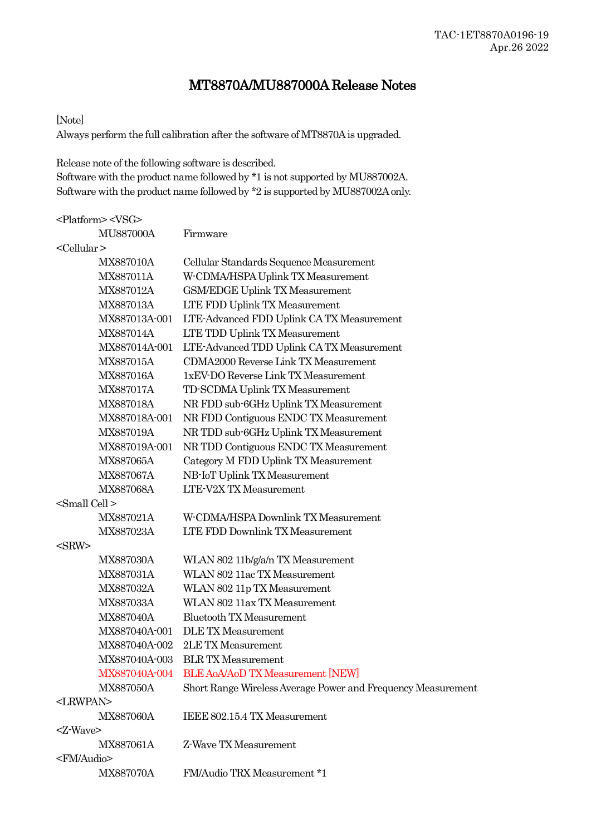# MT8870A/MU887000A Release Notes

### [Note]

Always perform the full calibration after the software of MT8870A is upgraded.

Release note of the following software is described. Software with the product name followed by \*1 is not supported by MU887002A. Software with the product name followed by \*2 is supported by MU887002A only.

|                         | <platform> <vsg></vsg></platform> |                                                              |
|-------------------------|-----------------------------------|--------------------------------------------------------------|
|                         | <b>MU887000A</b>                  | Firmware                                                     |
| <cellular></cellular>   |                                   |                                                              |
|                         | MX887010A                         | Cellular Standards Sequence Measurement                      |
|                         | MX887011A                         | W-CDMA/HSPA Uplink TX Measurement                            |
|                         | MX887012A                         | <b>GSM/EDGE Uplink TX Measurement</b>                        |
|                         | MX887013A                         | LTE FDD Uplink TX Measurement                                |
|                         | MX887013A-001                     | LTE-Advanced FDD Uplink CA TX Measurement                    |
|                         | <b>MX887014A</b>                  | LTE TDD Uplink TX Measurement                                |
|                         | MX887014A-001                     | LTE-Advanced TDD Uplink CA TX Measurement                    |
|                         | MX887015A                         | <b>CDMA2000 Reverse Link TX Measurement</b>                  |
|                         | <b>MX887016A</b>                  | 1xEV-DO Reverse Link TX Measurement                          |
|                         | <b>MX887017A</b>                  | TD-SCDMA Uplink TX Measurement                               |
|                         | MX887018A                         | NR FDD sub-6GHz Uplink TX Measurement                        |
|                         | MX887018A-001                     | NR FDD Contiguous ENDC TX Measurement                        |
|                         | MX887019A                         | NR TDD sub-6GHz Uplink TX Measurement                        |
|                         | MX887019A-001                     | NR TDD Contiguous ENDC TX Measurement                        |
|                         | MX887065A                         | Category M FDD Uplink TX Measurement                         |
|                         | MX887067A                         | NB-IoT Uplink TX Measurement                                 |
|                         | MX887068A                         | <b>LTE-V2X TX Measurement</b>                                |
| <small cell=""></small> |                                   |                                                              |
|                         | MX887021A                         | W-CDMA/HSPA Downlink TX Measurement                          |
|                         | MX887023A                         | LTE FDD Downlink TX Measurement                              |
| $<$ SRW $>$             |                                   |                                                              |
|                         | MX887030A                         | WLAN 802 11b/g/a/n TX Measurement                            |
|                         | MX887031A                         | WLAN 802 11ac TX Measurement                                 |
|                         | MX887032A                         | WLAN 802 11p TX Measurement                                  |
|                         | MX887033A                         | WLAN 802 11ax TX Measurement                                 |
|                         | MX887040A                         | <b>Bluetooth TX Measurement</b>                              |
|                         | MX887040A-001                     | <b>DLE TX Measurement</b>                                    |
|                         | MX887040A-002                     | 2LE TX Measurement                                           |
|                         | MX887040A-003                     | <b>BLR TX Measurement</b>                                    |
|                         | MX887040A-004                     | <b>BLE AoA/AoD TX Measurement [NEW]</b>                      |
|                         | <b>MX887050A</b>                  | Short Range Wireless Average Power and Frequency Measurement |
| <lrwpan></lrwpan>       |                                   |                                                              |
|                         | <b>MX887060A</b>                  | IEEE 802.15.4 TX Measurement                                 |
| <z-wave></z-wave>       |                                   |                                                              |
|                         | MX887061A                         | Z-Wave TX Measurement                                        |
| <fm audio=""></fm>      |                                   |                                                              |
|                         | <b>MX887070A</b>                  | FM/Audio TRX Measurement *1                                  |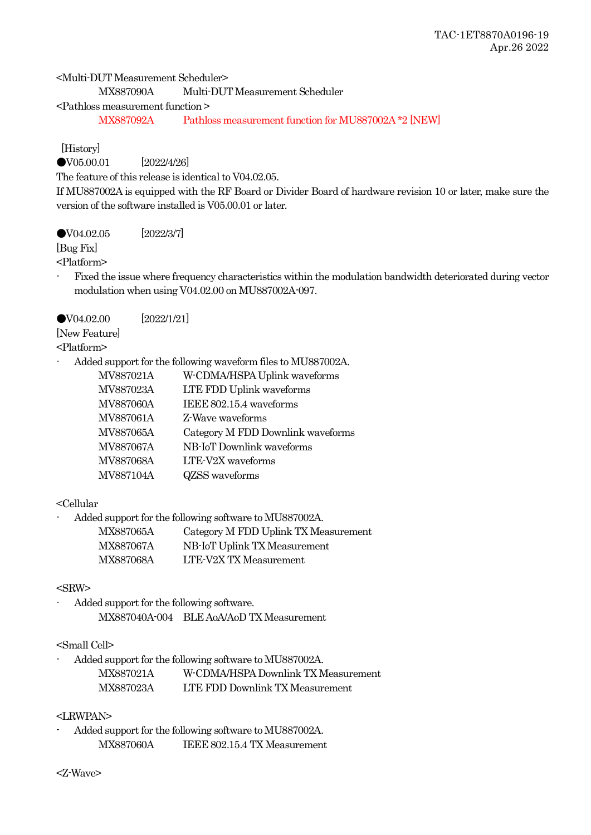<Multi-DUT Measurement Scheduler>

MX887090A Multi-DUT Measurement Scheduler

<Pathloss measurement function >

MX887092A Pathloss measurement function for MU887002A \*2 [NEW]

[History]

●V05.00.01 [2022/4/26]

The feature of this release is identical to V04.02.05.

If MU887002A is equipped with the RF Board or Divider Board of hardware revision 10 or later, make sure the version of the software installed is V05.00.01 or later.

●V04.02.05 [2022/3/7]

[Bug Fix]

<Platform>

- Fixed the issue where frequency characteristics within the modulation bandwidth deteriorated during vector modulation when using V04.02.00 on MU887002A-097.

●V04.02.00 [2022/1/21]

[New Feature]

<Platform>

- Added support for the following waveform files to MU887002A.

| MV887021A | W-CDMA/HSPA Uplink waveforms      |
|-----------|-----------------------------------|
| MV887023A | LTE FDD Uplink waveforms          |
| MV887060A | IEEE 802.15.4 waveforms           |
| MV887061A | Z-Wave waveforms                  |
| MV887065A | Category M FDD Downlink waveforms |
| MV887067A | NB-IoT Downlink waveforms         |
| MV887068A | LTE-V2X waveforms                 |
| MV887104A | QZSS waveforms                    |
|           |                                   |

# <Cellular

- Added support for the following software to MU887002A.

| MX887065A | Category M FDD Uplink TX Measurement |
|-----------|--------------------------------------|
| MX887067A | NB-IoT Uplink TX Measurement         |
| MX887068A | LTE-V2X TX Measurement               |

## <SRW>

Added support for the following software. MX887040A-004 BLE AoA/AoD TX Measurement

# <Small Cell>

- Added support for the following software to MU887002A. MX887021A W-CDMA/HSPA Downlink TX Measurement MX887023A LTE FDD Downlink TX Measurement

## <LRWPAN>

- Added support for the following software to MU887002A. MX887060A IEEE 802.15.4 TX Measurement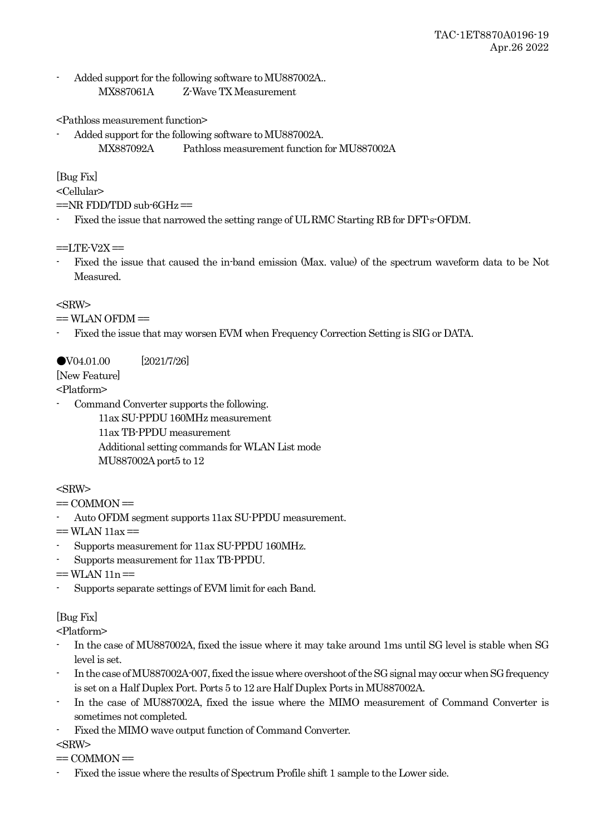Added support for the following software to MU887002A.. MX887061A Z-Wave TX Measurement

<Pathloss measurement function>

Added support for the following software to MU887002A. MX887092A Pathloss measurement function for MU887002A

[Bug Fix]

<Cellular>

 $=NR$  FDD/TDD sub-6GHz $=$ 

Fixed the issue that narrowed the setting range of UL RMC Starting RB for DFT-s-OFDM.

 $==I$  TE-V2X $==$ 

- Fixed the issue that caused the in-band emission (Max. value) of the spectrum waveform data to be Not Measured.

## $<$ SRW $>$

 $==$  WLAN OFDM $==$ 

- Fixed the issue that may worsen EVM when Frequency Correction Setting is SIG or DATA.

# ●V04.01.00 [2021/7/26]

[New Feature]

<Platform>

- Command Converter supports the following.
	- 11ax SU-PPDU 160MHz measurement 11ax TB-PPDU measurement Additional setting commands for WLAN List mode MU887002A port5 to 12

# $<$ SRW $>$

- $=$  COMMON $=$
- Auto OFDM segment supports 11ax SU-PPDU measurement.

 $==$  WLAN 11ax  $==$ 

- Supports measurement for 11ax SU-PPDU 160MHz.
- Supports measurement for 11ax TB-PPDU.

 $==$ WLAN  $11n ==$ 

- Supports separate settings of EVM limit for each Band.

# [Bug Fix]

<Platform>

- In the case of MU887002A, fixed the issue where it may take around 1ms until SG level is stable when SG level is set.
- In the case of MU887002A-007, fixed the issue where overshoot of the SG signal may occur when SG frequency is set on a Half Duplex Port. Ports 5 to 12 are Half Duplex Ports in MU887002A.
- In the case of MU887002A, fixed the issue where the MIMO measurement of Command Converter is sometimes not completed.
- Fixed the MIMO wave output function of Command Converter.

<SRW>

 $=$  COMMON $=$ 

- Fixed the issue where the results of Spectrum Profile shift 1 sample to the Lower side.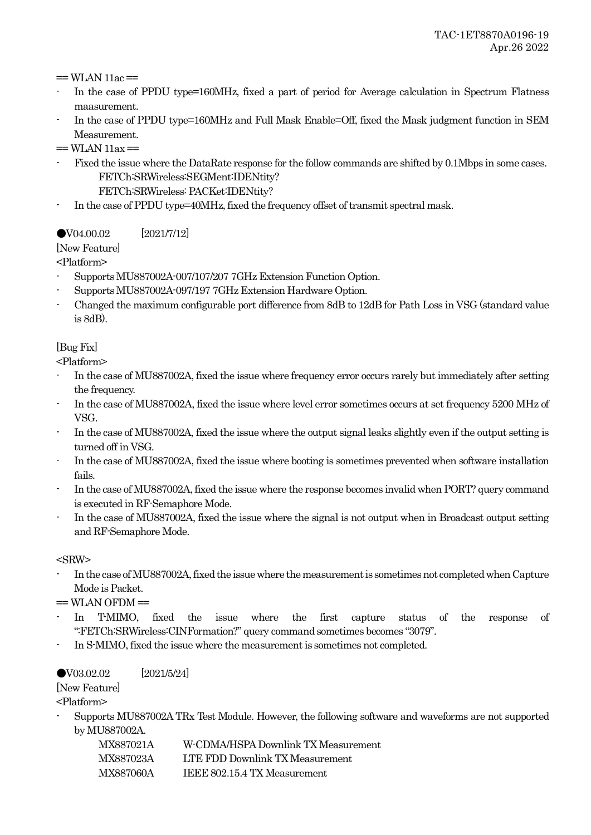$==$  WLAN 11ac  $==$ 

- In the case of PPDU type=160MHz, fixed a part of period for Average calculation in Spectrum Flatness maasurement.
- In the case of PPDU type=160MHz and Full Mask Enable=Off, fixed the Mask judgment function in SEM Measurement.
- $=$  WLAN 11ax  $=$
- Fixed the issue where the DataRate response for the follow commands are shifted by 0.1Mbps in some cases. FETCh:SRWireless:SEGMent:IDENtity?
	- FETCh:SRWireless: PACKet:IDENtity?
- In the case of PPDU type=40MHz, fixed the frequency offset of transmit spectral mask.

●V04.00.02 [2021/7/12]

[New Feature]

<Platform>

- Supports MU887002A-007/107/207 7GHz Extension Function Option.
- Supports MU887002A-097/197 7GHz Extension Hardware Option.
- Changed the maximum configurable port difference from 8dB to 12dB for Path Loss in VSG (standard value is 8dB).

# [Bug Fix]

<Platform>

- In the case of MU887002A, fixed the issue where frequency error occurs rarely but immediately after setting the frequency.
- In the case of MU887002A, fixed the issue where level error sometimes occurs at set frequency 5200 MHz of VSG.
- In the case of MU887002A, fixed the issue where the output signal leaks slightly even if the output setting is turned off in VSG.
- In the case of MU887002A, fixed the issue where booting is sometimes prevented when software installation fails.
- In the case of MU887002A, fixed the issue where the response becomes invalid when PORT? query command is executed in RF-Semaphore Mode.
- In the case of MU887002A, fixed the issue where the signal is not output when in Broadcast output setting and RF-Semaphore Mode.

<SRW>

In the case of MU887002A, fixed the issue where the measurement is sometimes not completed when Capture Mode is Packet.

 $=$  WLAN OFDM $=$ 

- In T-MIMO, fixed the issue where the first capture status of the response of ":FETCh:SRWireless:CINFormation?" query command sometimes becomes "3079".
- In S-MIMO, fixed the issue where the measurement is sometimes not completed.

## ●V03.02.02 [2021/5/24]

[New Feature]

<Platform>

- Supports MU887002A TRx Test Module. However, the following software and waveforms are not supported by MU887002A.

| MX887021A | W-CDMA/HSPA Downlink TX Measurement |
|-----------|-------------------------------------|
| MX887023A | LTE FDD Downlink TX Measurement     |
| MX887060A | IEEE 802.15.4 TX Measurement        |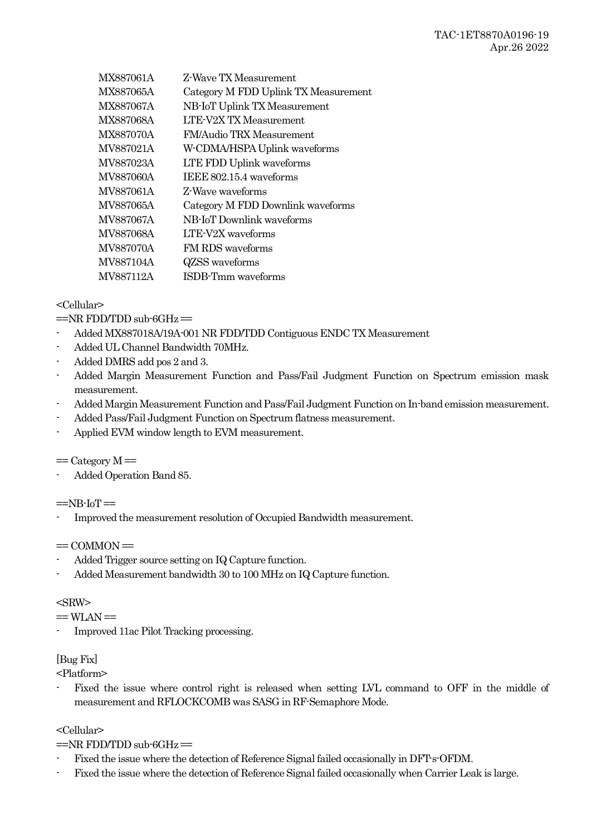| MX887061A        | Z-Wave TX Measurement                |
|------------------|--------------------------------------|
| MX887065A        | Category M FDD Uplink TX Measurement |
| <b>MX887067A</b> | NB-IoT Uplink TX Measurement         |
| MX887068A        | <b>LTE-V2X TX Measurement</b>        |
| MX887070A        | <b>FM/Audio TRX Measurement</b>      |
| MV887021A        | W-CDMA/HSPA Uplink waveforms         |
| MV887023A        | LTE FDD Uplink waveforms             |
| MV887060A        | IEEE 802.15.4 waveforms              |
| MV887061A        | Z-Wave waveforms                     |
| MV887065A        | Category M FDD Downlink waveforms    |
| MV887067A        | NB-IoT Downlink waveforms            |
| MV887068A        | LTE-V2X waveforms                    |
| <b>MV887070A</b> | FM RDS waveforms                     |
| <b>MV887104A</b> | QZSS waveforms                       |
| MV887112A        | ISDB-Tmm waveforms                   |
|                  |                                      |

## <Cellular>

 $=NR$  FDD/TDD sub-6GHz $=$ 

- Added MX887018A/19A-001 NR FDD/TDD Contiguous ENDC TX Measurement
- Added UL Channel Bandwidth 70MHz.
- Added DMRS add pos 2 and 3.
- Added Margin Measurement Function and Pass/Fail Judgment Function on Spectrum emission mask measurement.
- Added Margin Measurement Function and Pass/Fail Judgment Function on In-band emission measurement.
- Added Pass/Fail Judgment Function on Spectrum flatness measurement.
- Applied EVM window length to EVM measurement.

 $=$  Category  $M =$ 

- Added Operation Band 85.

 $=$ NB-IoT $=$ 

Improved the measurement resolution of Occupied Bandwidth measurement.

 $=$  COMMON $=$ 

- Added Trigger source setting on IQ Capture function.
- Added Measurement bandwidth 30 to 100 MHz on IQ Capture function.

## $<$ SRW $>$

 $==$  WLAN  $==$ 

- Improved 11ac Pilot Tracking processing.

## [Bug Fix]

<Platform>

Fixed the issue where control right is released when setting LVL command to OFF in the middle of measurement and RFLOCKCOMB was SASG in RF-Semaphore Mode.

## <Cellular>

 $=NR$  FDD/TDD sub-6GHz $=$ 

- Fixed the issue where the detection of Reference Signal failed occasionally in DFT-s-OFDM.
- Fixed the issue where the detection of Reference Signal failed occasionally when Carrier Leak is large.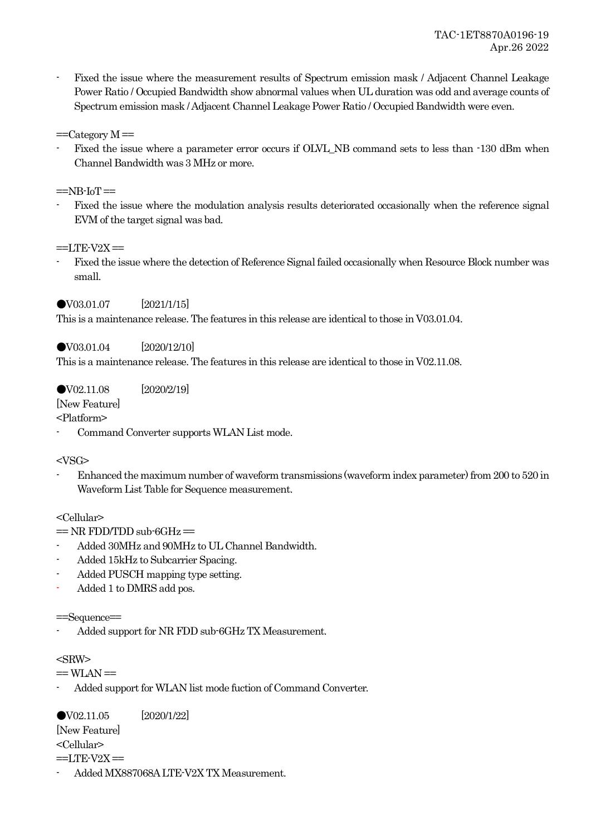- Fixed the issue where the measurement results of Spectrum emission mask / Adjacent Channel Leakage Power Ratio / Occupied Bandwidth show abnormal values when UL duration was odd and average counts of Spectrum emission mask / Adjacent Channel Leakage Power Ratio / Occupied Bandwidth were even.
- $=$ Category  $M =$
- Fixed the issue where a parameter error occurs if OLVL\_NB command sets to less than -130 dBm when Channel Bandwidth was 3 MHz or more.
- $=$ NB-IoT $=$
- Fixed the issue where the modulation analysis results deteriorated occasionally when the reference signal EVM of the target signal was bad.

 $==I$  TE-V2X $==$ 

- Fixed the issue where the detection of Reference Signal failed occasionally when Resource Block number was small.

### ●V03.01.07 [2021/1/15]

This is a maintenance release. The features in this release are identical to those in V03.01.04.

### ●V03.01.04 [2020/12/10]

This is a maintenance release. The features in this release are identical to those in V02.11.08.

### ●V02.11.08 [2020/2/19]

[New Feature]

<Platform>

Command Converter supports WLAN List mode.

### $<$ VSG $>$

- Enhanced the maximum number of waveform transmissions (waveform index parameter) from 200 to 520 in Waveform List Table for Sequence measurement.

### <Cellular>

- $=$  NR FDD/TDD sub-6GHz $=$
- Added 30MHz and 90MHz to UL Channel Bandwidth.
- Added 15kHz to Subcarrier Spacing.
- Added PUSCH mapping type setting.
- Added 1 to DMRS add pos.

### ==Sequence==

Added support for NR FDD sub-6GHz TX Measurement.

### $<$ SRW $>$

 $==$  WLAN  $==$ 

- Added support for WLAN list mode fuction of Command Converter.

●V02.11.05 [2020/1/22] [New Feature] <Cellular>  $==$ LTE-V2X $==$ 

- Added MX887068A LTE-V2X TX Measurement.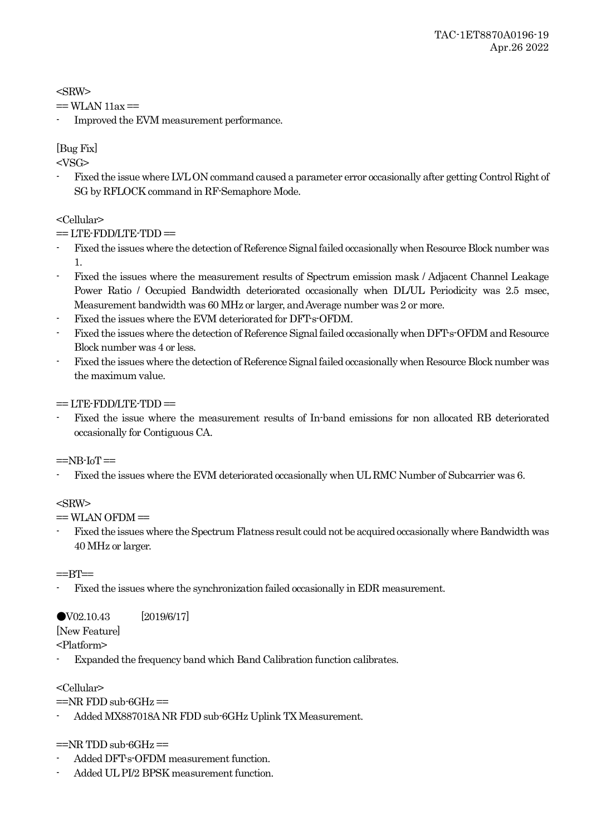<SRW>

```
= WLAN 11ax =
```
- Improved the EVM measurement performance.

# [Bug Fix]

 $<$ VSG $>$ 

- Fixed the issue where LVL ON command caused a parameter error occasionally after getting Control Right of SG by RFLOCK command in RF-Semaphore Mode.

# <Cellular>

 $=$  LTE-FDD/LTE-TDD $=$ 

- Fixed the issues where the detection of Reference Signal failed occasionally when Resource Block number was 1.
- Fixed the issues where the measurement results of Spectrum emission mask / Adjacent Channel Leakage Power Ratio / Occupied Bandwidth deteriorated occasionally when DL/UL Periodicity was 2.5 msec, Measurement bandwidth was 60 MHz or larger, and Average number was 2 or more.
- Fixed the issues where the EVM deteriorated for DFT-s-OFDM.
- Fixed the issues where the detection of Reference Signal failed occasionally when DFT-s-OFDM and Resource Block number was 4 or less.
- Fixed the issues where the detection of Reference Signal failed occasionally when Resource Block number was the maximum value.

 $=$  LTE-FDD/LTE-TDD $=$ 

- Fixed the issue where the measurement results of In-band emissions for non allocated RB deteriorated occasionally for Contiguous CA.

# $=$ NB-IoT $=$

- Fixed the issues where the EVM deteriorated occasionally when UL RMC Number of Subcarrier was 6.

# <SRW>

 $=$  WLAN OFDM $=$ 

- Fixed the issues where the Spectrum Flatness result could not be acquired occasionally where Bandwidth was 40 MHz or larger.

## $=$  $-$ BT $=$

- Fixed the issues where the synchronization failed occasionally in EDR measurement.

# ●V02.10.43 [2019/6/17]

[New Feature]

<Platform>

Expanded the frequency band which Band Calibration function calibrates.

## <Cellular>

 $=NR$  FDD sub-6GHz $=$ 

- Added MX887018A NR FDD sub-6GHz Uplink TX Measurement.

## $=NR$  TDD sub-6GHz  $=$

- Added DFT-s-OFDM measurement function.
- Added UL PI/2 BPSK measurement function.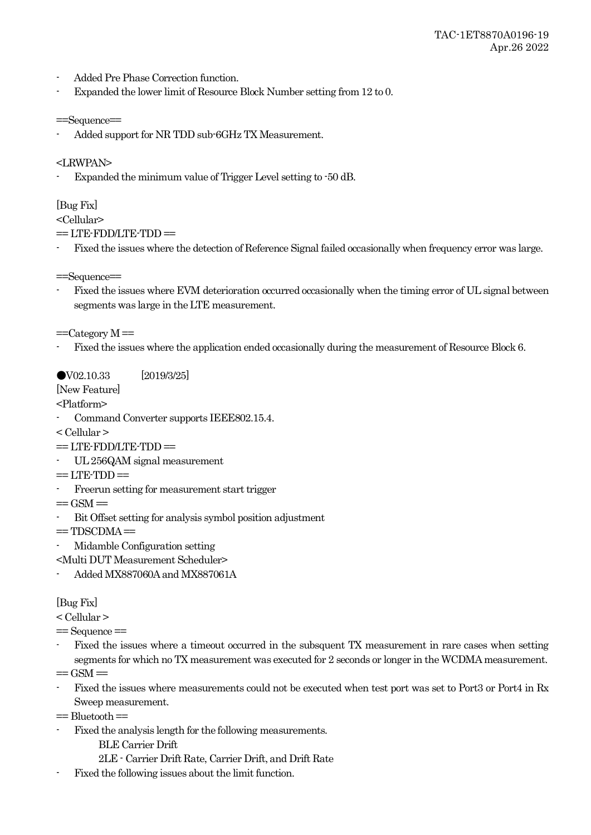- Added Pre Phase Correction function.
- Expanded the lower limit of Resource Block Number setting from 12 to 0.

```
==Sequence==
```
- Added support for NR TDD sub-6GHz TX Measurement.

<LRWPAN>

Expanded the minimum value of Trigger Level setting to  $-50$  dB.

[Bug Fix]

<Cellular>

 $=$  LTE-FDD/LTE-TDD $=$ 

- Fixed the issues where the detection of Reference Signal failed occasionally when frequency error was large.

==Sequence==

- Fixed the issues where EVM deterioration occurred occasionally when the timing error of UL signal between segments was large in the LTE measurement.

 $=$ Category M $=$ 

- Fixed the issues where the application ended occasionally during the measurement of Resource Block 6.

●V02.10.33 [2019/3/25]

[New Feature]

<Platform>

- Command Converter supports IEEE802.15.4.
- < Cellular >
- $=$  LTE-FDD/LTE-TDD $=$
- UL 256QAM signal measurement
- $==$  LTE-TDD $==$
- Freerun setting for measurement start trigger
- $=$  GSM  $=$
- Bit Offset setting for analysis symbol position adjustment
- $=$  TDSCDMA $=$
- Midamble Configuration setting

<Multi DUT Measurement Scheduler>

- Added MX887060A and MX887061A

## [Bug Fix]

< Cellular >

- $=$  Sequence  $=$
- Fixed the issues where a timeout occurred in the subsquent TX measurement in rare cases when setting segments for which no TX measurement was executed for 2 seconds or longer in the WCDMA measurement.
- $=$  GSM $=$
- Fixed the issues where measurements could not be executed when test port was set to Port3 or Port4 in Rx Sweep measurement.

 $=$  Bluetooth $=$ 

Fixed the analysis length for the following measurements.

BLE Carrier Drift

- 2LE Carrier Drift Rate, Carrier Drift, and Drift Rate
- Fixed the following issues about the limit function.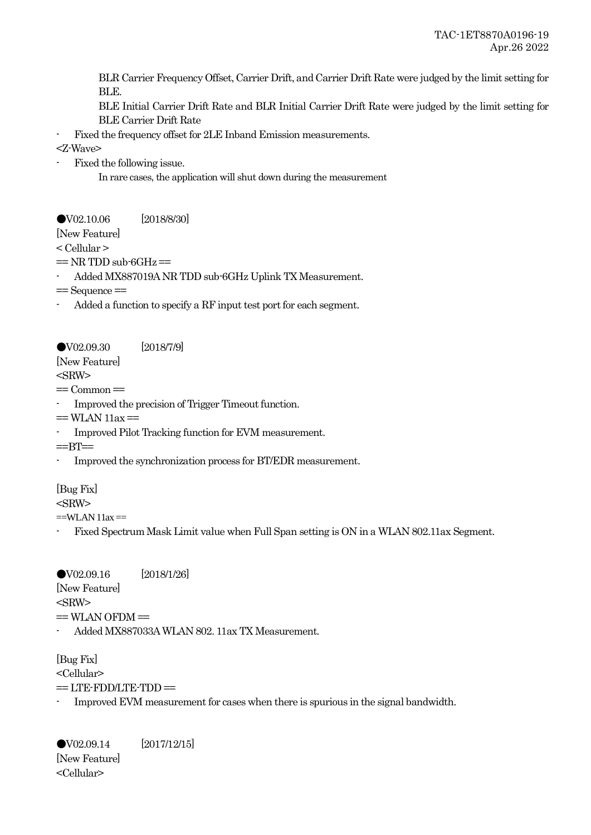BLR Carrier Frequency Offset, Carrier Drift, and Carrier Drift Rate were judged by the limit setting for BLE.

BLE Initial Carrier Drift Rate and BLR Initial Carrier Drift Rate were judged by the limit setting for BLE Carrier Drift Rate

Fixed the frequency offset for  $2LE$  Inband Emission measurements.

<Z-Wave>

Fixed the following issue.

In rare cases, the application will shut down during the measurement

●V02.10.06 [2018/8/30] [New Feature]

< Cellular >

 $=$  NR TDD sub-6GHz  $=$ 

- Added MX887019A NR TDD sub-6GHz Uplink TX Measurement.

 $=$  Sequence  $=$ 

Added a function to specify a RF input test port for each segment.

●V02.09.30 [2018/7/9]

[New Feature] <SRW>

 $=$  Common $=$ 

- Improved the precision of Trigger Timeout function.

 $=$  WLAN  $11ax =$ 

- Improved Pilot Tracking function for EVM measurement.

 $=$ BT $=$ 

- Improved the synchronization process for BT/EDR measurement.

# [Bug Fix]

<SRW>

 $=$ WLAN 11ax  $=$ 

- Fixed Spectrum Mask Limit value when Full Span setting is ON in a WLAN 802.11ax Segment.

●V02.09.16 [2018/1/26] [New Feature]  $<$ SRW $>$  $=$  WLAN OFDM $=$ - Added MX887033A WLAN 802. 11ax TX Measurement.

[Bug Fix] <Cellular>  $=$  LTE-FDD/LTE-TDD $=$ 

Improved EVM measurement for cases when there is spurious in the signal bandwidth.

●V02.09.14 [2017/12/15] [New Feature] <Cellular>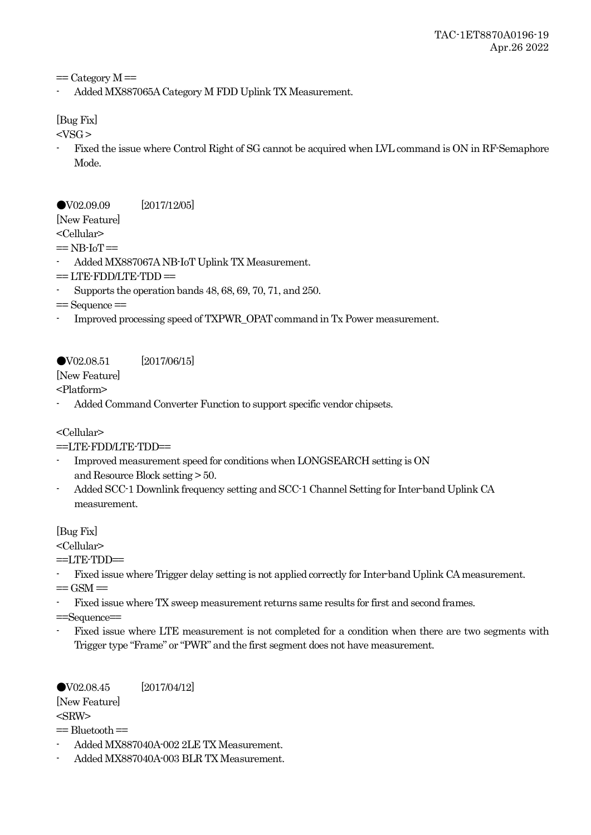$=$  Category M $=$ 

- Added MX887065A Category M FDD Uplink TX Measurement.

[Bug Fix]

 $<$ VSG  $>$ 

- Fixed the issue where Control Right of SG cannot be acquired when LVL command is ON in RF-Semaphore Mode.

## ●V02.09.09 [2017/12/05]

[New Feature]

<Cellular>

 $=$  NB-IoT $=$ 

- Added MX887067A NB-IoT Uplink TX Measurement.
- $=$  LTE-FDD/LTE-TDD $=$
- Supports the operation bands 48, 68, 69, 70, 71, and 250.
- $=$  Sequence  $=$
- Improved processing speed of TXPWR\_OPAT command in Tx Power measurement.

# ●V02.08.51 [2017/06/15]

[New Feature]

<Platform>

Added Command Converter Function to support specific vendor chipsets.

# <Cellular>

# ==LTE-FDD/LTE-TDD==

- Improved measurement speed for conditions when LONGSEARCH setting is ON and Resource Block setting > 50.
- Added SCC-1 Downlink frequency setting and SCC-1 Channel Setting for Inter-band Uplink CA measurement.

[Bug Fix]

<Cellular>

 $=$ LTE-TDD $=$ 

- Fixed issue where Trigger delay setting is not applied correctly for Inter-band Uplink CA measurement.  $=$  GSM $=$
- Fixed issue where TX sweep measurement returns same results for first and second frames.

==Sequence==

- Fixed issue where LTE measurement is not completed for a condition when there are two segments with Trigger type "Frame" or "PWR" and the first segment does not have measurement.

●V02.08.45 [2017/04/12] [New Feature]  $<$ SRW $>$  $=$  Bluetooth  $=$ 

- Added MX887040A-002 2LE TX Measurement.
- Added MX887040A-003 BLR TX Measurement.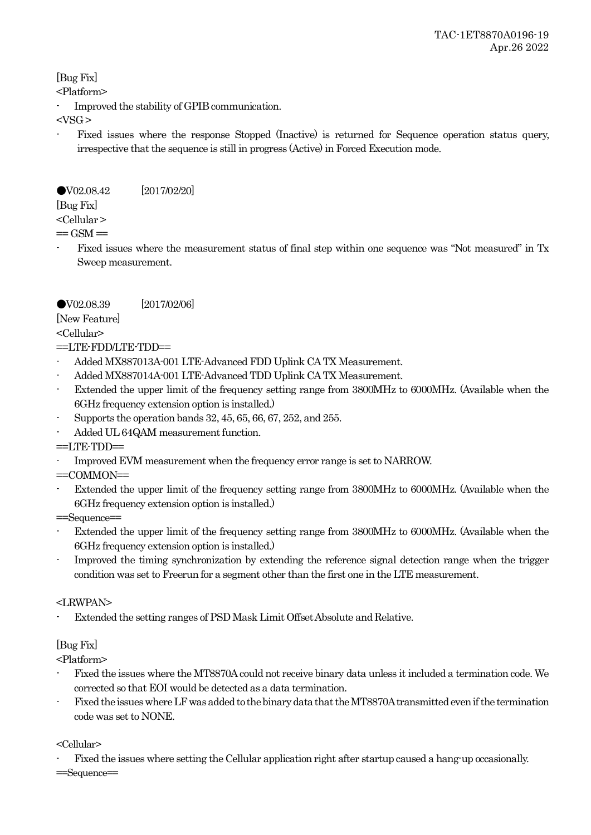[Bug Fix]

<Platform>

- Improved the stability of GPIB communication.

 $<$ VSG  $>$ 

- Fixed issues where the response Stopped (Inactive) is returned for Sequence operation status query, irrespective that the sequence is still in progress (Active) in Forced Execution mode.

# ●V02.08.42 [2017/02/20]

[Bug Fix]

<Cellular >

 $=$  GSM $=$ 

- Fixed issues where the measurement status of final step within one sequence was "Not measured" in Tx Sweep measurement.

# ●V02.08.39 [2017/02/06]

[New Feature]

<Cellular>

# $=$ LTE-FDD/LTE-TDD $=$

- Added MX887013A-001 LTE-Advanced FDD Uplink CA TX Measurement.
- Added MX887014A-001 LTE-Advanced TDD Uplink CA TX Measurement.
- Extended the upper limit of the frequency setting range from 3800MHz to 6000MHz. (Available when the 6GHz frequency extension option is installed.)
- Supports the operation bands 32, 45, 65, 66, 67, 252, and 255.
- Added UL 64QAM measurement function.

 $=$  $LTE$ - $TDD$  $=$ 

- Improved EVM measurement when the frequency error range is set to NARROW.

 $=$ COMMON $=$ 

Extended the upper limit of the frequency setting range from 3800MHz to 6000MHz. (Available when the 6GHz frequency extension option is installed.)

==Sequence==

- Extended the upper limit of the frequency setting range from 3800MHz to 6000MHz. (Available when the 6GHz frequency extension option is installed.)
- Improved the timing synchronization by extending the reference signal detection range when the trigger condition was set to Freerun for a segment other than the first one in the LTE measurement.

## <LRWPAN>

Extended the setting ranges of PSD Mask Limit Offset Absolute and Relative.

# [Bug Fix]

<Platform>

- Fixed the issues where the MT8870A could not receive binary data unless it included a termination code. We corrected so that EOI would be detected as a data termination.
- Fixed the issues where LF was added to the binary data that the MT8870A transmitted even if the termination code was set to NONE.

## <Cellular>

Fixed the issues where setting the Cellular application right after startup caused a hang-up occasionally.

==Sequence==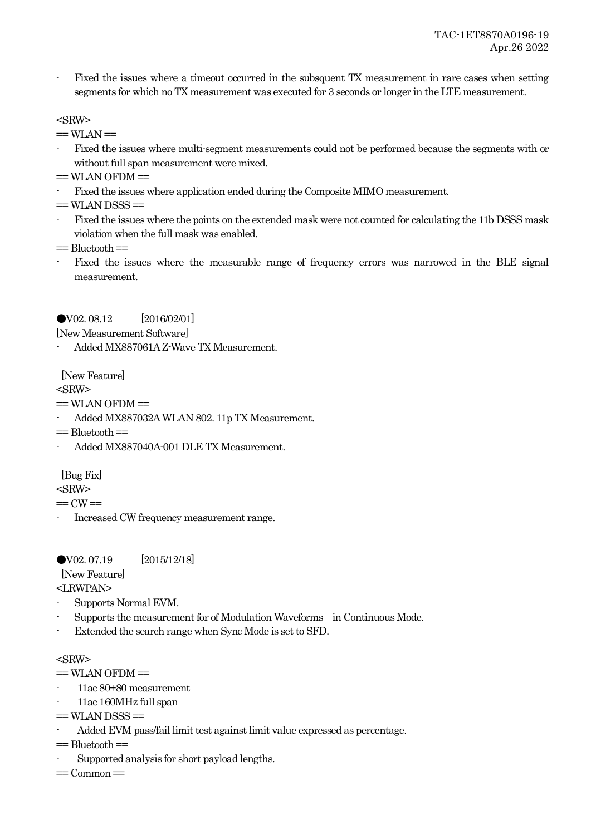- Fixed the issues where a timeout occurred in the subsquent TX measurement in rare cases when setting segments for which no TX measurement was executed for 3 seconds or longer in the LTE measurement.

### $<$ SRW $>$

 $==$  WLAN  $==$ 

- Fixed the issues where multi-segment measurements could not be performed because the segments with or without full span measurement were mixed.
- $=$  WLAN OFDM $=$
- Fixed the issues where application ended during the Composite MIMO measurement.

 $=$  WLAN DSSS $=$ 

- Fixed the issues where the points on the extended mask were not counted for calculating the 11b DSSS mask violation when the full mask was enabled.
- $=$  Bluetooth $=$
- Fixed the issues where the measurable range of frequency errors was narrowed in the BLE signal measurement.

## ●V02. 08.12 [2016/02/01]

[New Measurement Software]

- Added MX887061A Z-Wave TX Measurement.

[New Feature]

## $<$ SRW $>$

 $=$  WLAN OFDM $=$ 

- Added MX887032A WLAN 802. 11p TX Measurement.
- $=$  Bluetooth  $=$
- Added MX887040A-001 DLE TX Measurement.

[Bug Fix]

<SRW>

 $==$  CW $==$ 

Increased CW frequency measurement range.

●V02. 07.19 [2015/12/18]

[New Feature]

<LRWPAN>

- Supports Normal EVM.
- Supports the measurement for of Modulation Waveforms in Continuous Mode.
- Extended the search range when Sync Mode is set to SFD.

### <SRW>

- $=$  WLAN OFDM $=$
- 11ac 80+80 measurement
- 11ac 160MHz full span
- $=$  WLAN DSSS $=$
- Added EVM pass/fail limit test against limit value expressed as percentage.

 $=$  Bluetooth $=$ 

- Supported analysis for short payload lengths.

 $=$  Common $=$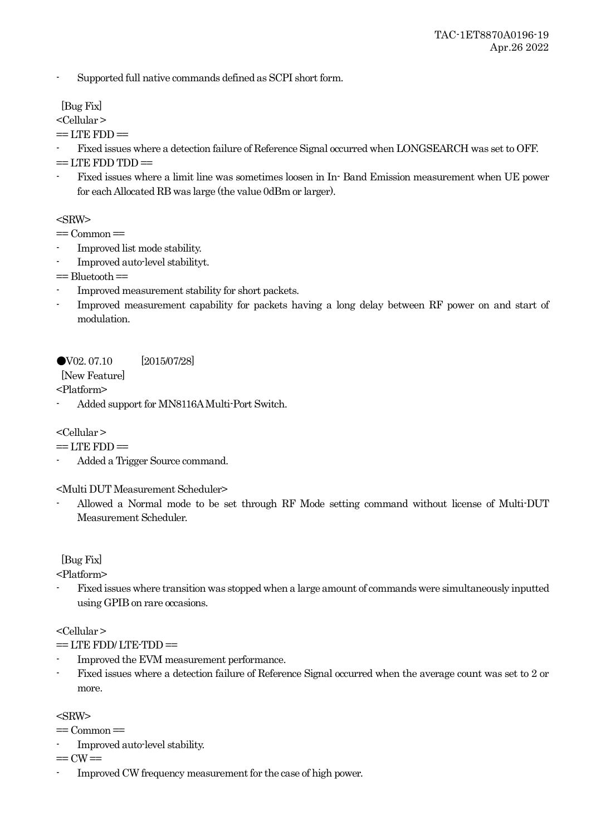- Supported full native commands defined as SCPI short form.

[Bug Fix]

<Cellular >

 $=$  LTE FDD $=$ 

- Fixed issues where a detection failure of Reference Signal occurred when LONGSEARCH was set to OFF.

 $==$  LTE FDD TDD $==$ 

- Fixed issues where a limit line was sometimes loosen in In- Band Emission measurement when UE power for each Allocated RB was large (the value 0dBm or larger).

 $<$ SRW $>$ 

 $=$  Common $=$ 

- Improved list mode stability.
- Improved auto-level stabilityt.

 $=$  Bluetooth $=$ 

- Improved measurement stability for short packets.
- Improved measurement capability for packets having a long delay between RF power on and start of modulation.

●V02. 07.10 [2015/07/28]

[New Feature]

<Platform>

- Added support for MN8116A Multi-Port Switch.

<Cellular >

 $==$  LTE  $FDD =$ 

- Added a Trigger Source command.

<Multi DUT Measurement Scheduler>

- Allowed a Normal mode to be set through RF Mode setting command without license of Multi-DUT Measurement Scheduler.

# [Bug Fix]

<Platform>

- Fixed issues where transition was stopped when a large amount of commands were simultaneously inputted using GPIB on rare occasions.

<Cellular >

 $=$  LTE FDD/LTE-TDD $=$ 

- Improved the EVM measurement performance.
- Fixed issues where a detection failure of Reference Signal occurred when the average count was set to 2 or more.

<SRW>

 $=$  Common $=$ 

- Improved auto-level stability.

 $==$  CW $==$ 

Improved CW frequency measurement for the case of high power.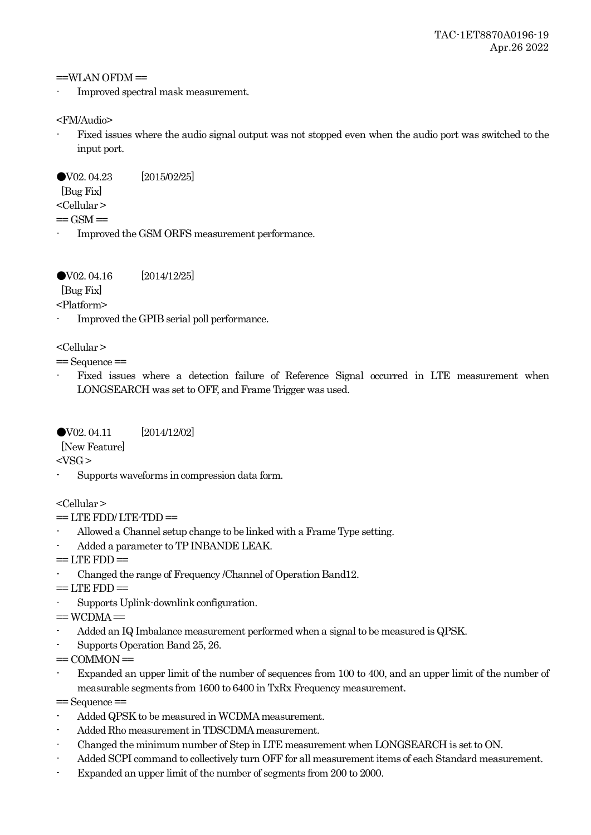$=$ WLAN OFDM $=$ 

- Improved spectral mask measurement.

<FM/Audio>

Fixed issues where the audio signal output was not stopped even when the audio port was switched to the input port.

●V02. 04.23 [2015/02/25]

[Bug Fix]

<Cellular >

 $=$  GSM $=$ 

- Improved the GSM ORFS measurement performance.

●V02. 04.16 [2014/12/25]

[Bug Fix]

<Platform>

- Improved the GPIB serial poll performance.

<Cellular >

 $=$  Sequence  $=$ 

Fixed issues where a detection failure of Reference Signal occurred in LTE measurement when LONGSEARCH was set to OFF, and Frame Trigger was used.

●V02. 04.11 [2014/12/02]

[New Feature]

 $<$ VSG  $>$ 

- Supports waveforms in compression data form.

<Cellular >

- $=$  LTE FDD/LTE-TDD $=$
- Allowed a Channel setup change to be linked with a Frame Type setting.
- Added a parameter to TP INBANDE LEAK.
- $=$  LTE FDD $=$
- Changed the range of Frequency /Channel of Operation Band12.

 $=$  LTE  $FDD =$ 

- Supports Uplink-downlink configuration.

 $=$  WCDMA $=$ 

- Added an IQ Imbalance measurement performed when a signal to be measured is QPSK.
- Supports Operation Band 25, 26.
- $=$  COMMON $=$
- Expanded an upper limit of the number of sequences from 100 to 400, and an upper limit of the number of measurable segments from 1600 to 6400 in TxRx Frequency measurement.

 $=$  Sequence  $=$ 

- Added QPSK to be measured in WCDMA measurement.
- Added Rho measurement in TDSCDMA measurement.
- Changed the minimum number of Step in LTE measurement when LONGSEARCH is set to ON.
- Added SCPI command to collectively turn OFF for all measurement items of each Standard measurement.
- Expanded an upper limit of the number of segments from 200 to 2000.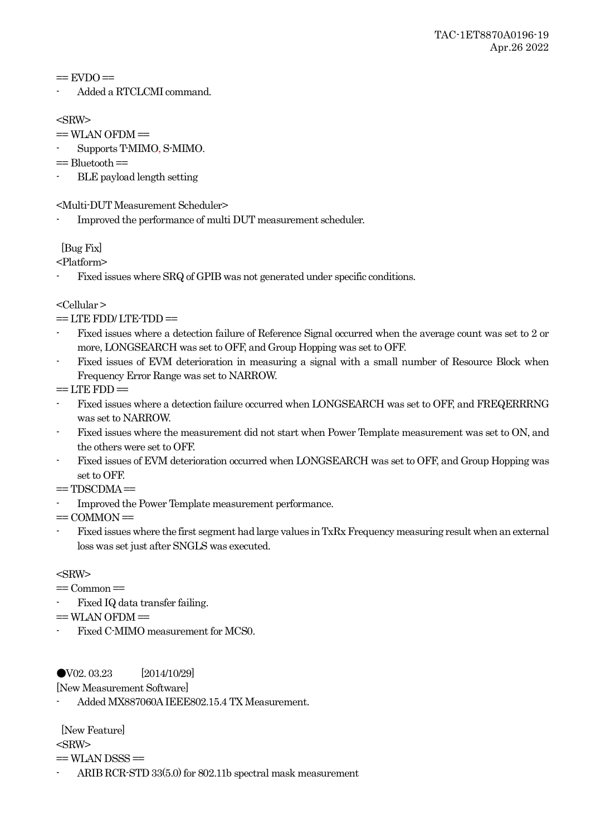$=$  EVDO $=$ 

- Added a RTCLCMI command.

 $<$ SRW $>$ 

- $=$  WLAN OFDM $=$
- Supports T-MIMO, S-MIMO.
- $=$  Bluetooth $=$
- BLE payload length setting

<Multi-DUT Measurement Scheduler>

- Improved the performance of multi DUT measurement scheduler.

[Bug Fix]

<Platform>

Fixed issues where SRQ of GPIB was not generated under specific conditions.

<Cellular >

 $==$  LTE FDD/ LTE-TDD $==$ 

- Fixed issues where a detection failure of Reference Signal occurred when the average count was set to 2 or more, LONGSEARCH was set to OFF, and Group Hopping was set to OFF.
- Fixed issues of EVM deterioration in measuring a signal with a small number of Resource Block when Frequency Error Range was set to NARROW.

 $=$  LTE FDD $=$ 

- Fixed issues where a detection failure occurred when LONGSEARCH was set to OFF, and FREQERRRNG was set to NARROW.
- Fixed issues where the measurement did not start when Power Template measurement was set to ON, and the others were set to OFF.
- Fixed issues of EVM deterioration occurred when LONGSEARCH was set to OFF, and Group Hopping was set to OFF.
- $=$  TDSCDMA $=$
- Improved the Power Template measurement performance.

 $=$  COMMON $=$ 

- Fixed issues where the first segment had large values in TxRx Frequency measuring result when an external loss was set just after SNGLS was executed.

 $<$ SRW $>$ 

 $=$  Common $=$ 

- Fixed IQ data transfer failing.
- $=$  WLAN OFDM $=$
- Fixed C-MIMO measurement for MCS0.

●V02. 03.23 [2014/10/29]

[New Measurement Software]

- Added MX887060A IEEE802.15.4 TX Measurement.

[New Feature]

 $<$ SRW $>$ 

 $=$  WLAN DSSS $=$ 

ARIB RCR-STD 33(5.0) for 802.11b spectral mask measurement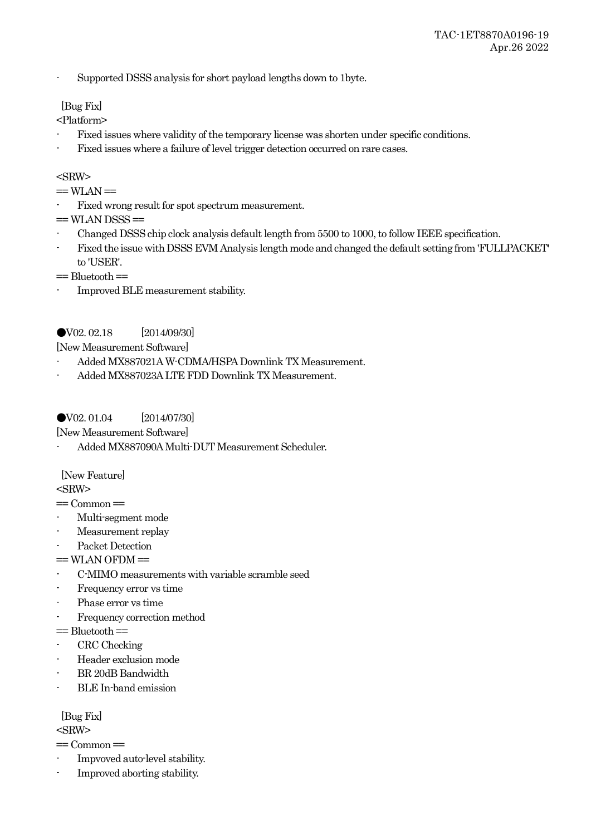- Supported DSSS analysis for short payload lengths down to 1byte.

## [Bug Fix]

<Platform>

- Fixed issues where validity of the temporary license was shorten under specific conditions.
- Fixed issues where a failure of level trigger detection occurred on rare cases.

### $<$ SRW $>$

 $==$  WLAN  $==$ 

Fixed wrong result for spot spectrum measurement.

 $=$  WLAN DSSS $=$ 

- Changed DSSS chip clock analysis default length from 5500 to 1000, to follow IEEE specification.
- Fixed the issue with DSSS EVM Analysis length mode and changed the default setting from 'FULLPACKET' to 'USER'.
- $=$  Bluetooth $=$
- Improved BLE measurement stability.

# ●V02. 02.18 [2014/09/30]

[New Measurement Software]

- Added MX887021A W-CDMA/HSPA Downlink TX Measurement.
- Added MX887023A LTE FDD Downlink TX Measurement.

## ●V02. 01.04 [2014/07/30]

[New Measurement Software]

- Added MX887090AMulti-DUT Measurement Scheduler.

[New Feature]

 $<$ SRW $>$ 

 $=$  Common $=$ 

- Multi-segment mode
- Measurement replay
- Packet Detection
- $=$  WLAN OFDM $=$
- C-MIMO measurements with variable scramble seed
- Frequency error vs time
- Phase error vs time
- Frequency correction method
- $=$  Bluetooth  $=$
- CRC Checking
- Header exclusion mode
- BR 20dB Bandwidth
- BLE In-band emission

[Bug Fix]

<SRW>

- $=$  Common $=$
- Impvoved auto-level stability.
- Improved aborting stability.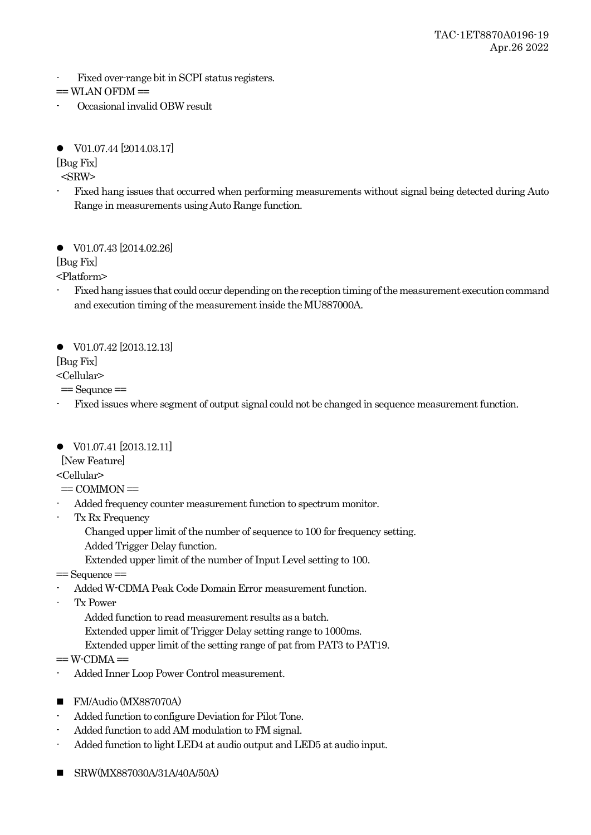- Fixed over-range bit in SCPI status registers.

```
= WLAN OFDM=
```
- Occasional invalid OBW result
- V01.07.44 [2014.03.17]

[Bug Fix]

 $<$ SRW $>$ 

- Fixed hang issues that occurred when performing measurements without signal being detected during Auto Range in measurements using Auto Range function.

● V01.07.43 [2014.02.26]

[Bug Fix]

<Platform>

- Fixed hang issues that could occur depending on the reception timing of the measurement execution command and execution timing of the measurement inside the MU887000A.

● V01.07.42 [2013.12.13]

# [Bug Fix]

<Cellular>

 $=$  Sequnce  $=$ 

- Fixed issues where segment of output signal could not be changed in sequence measurement function.
- V01.07.41 [2013.12.11]

[New Feature]

<Cellular>

- $=$  COMMON $=$
- Added frequency counter measurement function to spectrum monitor.
- Tx Rx Frequency
	- Changed upper limit of the number of sequence to 100 for frequency setting. Added Trigger Delay function.

Extended upper limit of the number of Input Level setting to 100.

- $=$  Sequence  $=$ 
	- Added W-CDMA Peak Code Domain Error measurement function.
- Tx Power

Added function to read measurement results as a batch.

Extended upper limit of Trigger Delay setting range to 1000ms.

- Extended upper limit of the setting range of pat from PAT3 to PAT19.
- $=$  W $\cdot$ CDMA $=$
- Added Inner Loop Power Control measurement.
- FM/Audio (MX887070A)
- Added function to configure Deviation for Pilot Tone.
- Added function to add AM modulation to FM signal.
- Added function to light LED4 at audio output and LED5 at audio input.
- SRW(MX887030A/31A/40A/50A)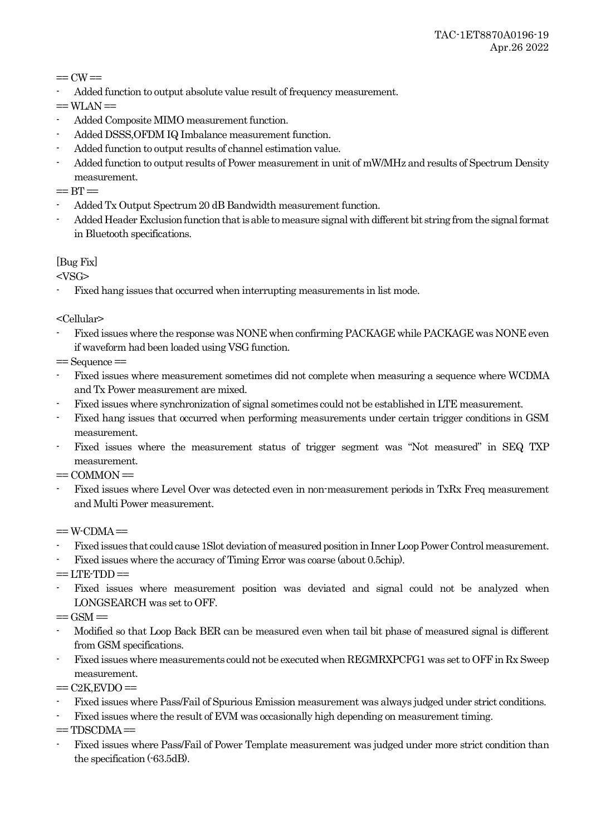$=$  CW $=$ 

- Added function to output absolute value result of frequency measurement.

 $==$  WLAN  $==$ 

- Added Composite MIMO measurement function.
- Added DSSS,OFDM IQ Imbalance measurement function.
- Added function to output results of channel estimation value.
- Added function to output results of Power measurement in unit of mW/MHz and results of Spectrum Density measurement.
- $=$  BT $=$
- Added Tx Output Spectrum 20 dB Bandwidth measurement function.
- Added Header Exclusion function that is able to measure signal with different bit string from the signal format in Bluetooth specifications.

# [Bug Fix]

 $<$ VSG>

- Fixed hang issues that occurred when interrupting measurements in list mode.

<Cellular>

- Fixed issues where the response was NONE when confirming PACKAGE while PACKAGE was NONE even if waveform had been loaded using VSG function.

 $=$  Sequence  $=$ 

- Fixed issues where measurement sometimes did not complete when measuring a sequence where WCDMA and Tx Power measurement are mixed.
- Fixed issues where synchronization of signal sometimes could not be established in LTE measurement.
- Fixed hang issues that occurred when performing measurements under certain trigger conditions in GSM measurement.
- Fixed issues where the measurement status of trigger segment was "Not measured" in SEQ TXP measurement.

 $=$  COMMON $=$ 

- Fixed issues where Level Over was detected even in non-measurement periods in TxRx Freq measurement and Multi Power measurement.

 $=$  W-CDMA $=$ 

- Fixed issues that could cause 1Slot deviation of measured position in Inner Loop Power Control measurement.
- Fixed issues where the accuracy of Timing Error was coarse (about 0.5chip).
- $=$  LTE-TDD $=$
- Fixed issues where measurement position was deviated and signal could not be analyzed when LONGSEARCH was set to OFF.

 $=$  GSM $=$ 

- Modified so that Loop Back BER can be measured even when tail bit phase of measured signal is different from GSM specifications.
- Fixed issues where measurements could not be executed when REGMRXPCFG1 was set to OFF in Rx Sweep measurement.

 $=$  C<sub>2</sub>K, EVDO  $=$ 

- Fixed issues where Pass/Fail of Spurious Emission measurement was always judged under strict conditions.
- Fixed issues where the result of EVM was occasionally high depending on measurement timing.

 $=$  TDSCDMA $=$ 

- Fixed issues where Pass/Fail of Power Template measurement was judged under more strict condition than the specification (-63.5dB).